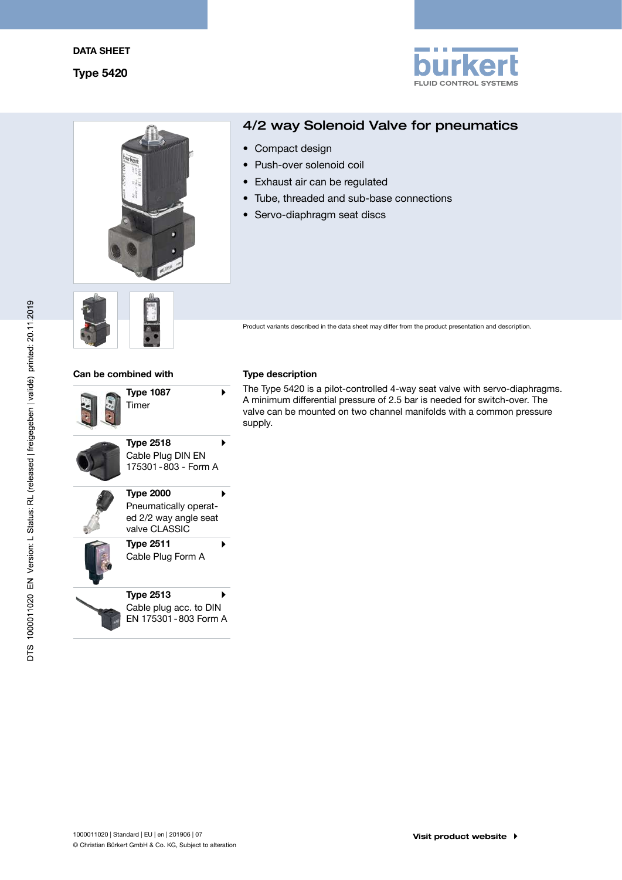



# 4/2 way Solenoid Valve for pneumatics

- Compact design
- Push-over solenoid coil
- Exhaust air can be regulated
- Tube, threaded and sub-base connections
- Servo-diaphragm seat discs



Product variants described in the data sheet may differ from the product presentation and description.

## Can be combined with Type description

| <b>Type 1087</b><br>Timer                                                           |  |
|-------------------------------------------------------------------------------------|--|
| <b>Type 2518</b><br>Cable Plug DIN EN<br>175301-803 - Form A                        |  |
| <b>Type 2000</b><br>Pneumatically operat-<br>ed 2/2 way angle seat<br>valve CLASSIC |  |
| <b>Type 2511</b><br>Cable Plug Form A                                               |  |
| <b>Type 2513</b><br>Cable plug acc. to DIN<br>EN 175301-803 Form A                  |  |
|                                                                                     |  |

The Type 5420 is a pilot-controlled 4-way seat valve with servo-diaphragms. A minimum differential pressure of 2.5 bar is needed for switch-over. The valve can be mounted on two channel manifolds with a common pressure supply.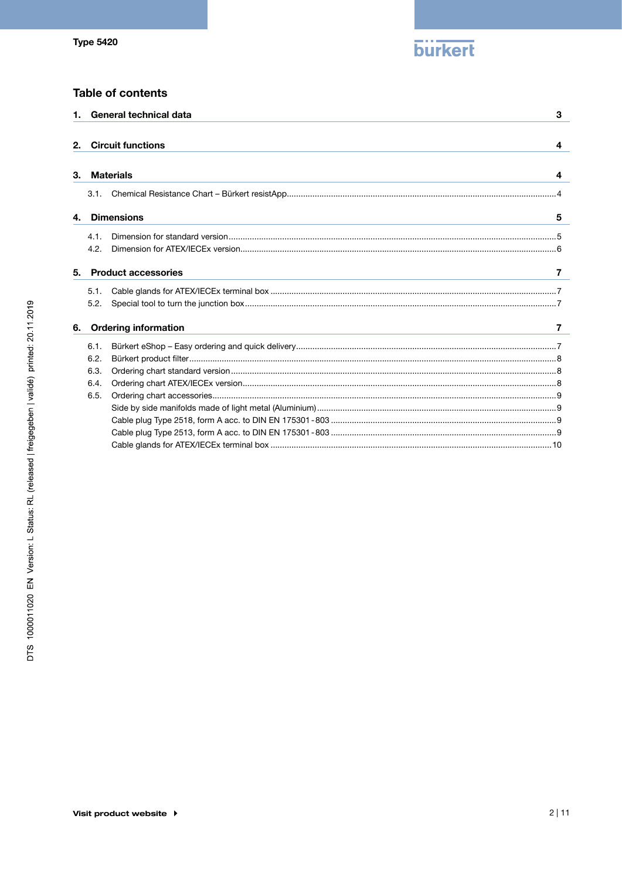

# **Table of contents**

|    |                                      | 1. General technical data<br>3  |
|----|--------------------------------------|---------------------------------|
| 2. |                                      | <b>Circuit functions</b><br>4   |
| 3. |                                      | <b>Materials</b><br>4           |
|    | 3.1.                                 |                                 |
| 4. |                                      | <b>Dimensions</b><br>5          |
|    | 4.1.<br>4.2.                         |                                 |
| 5. |                                      | <b>Product accessories</b><br>7 |
|    | 5.1.<br>5.2.                         |                                 |
| 6. |                                      | <b>Ordering information</b>     |
|    | 6.1.<br>6.2.<br>6.3.<br>6.4.<br>6.5. |                                 |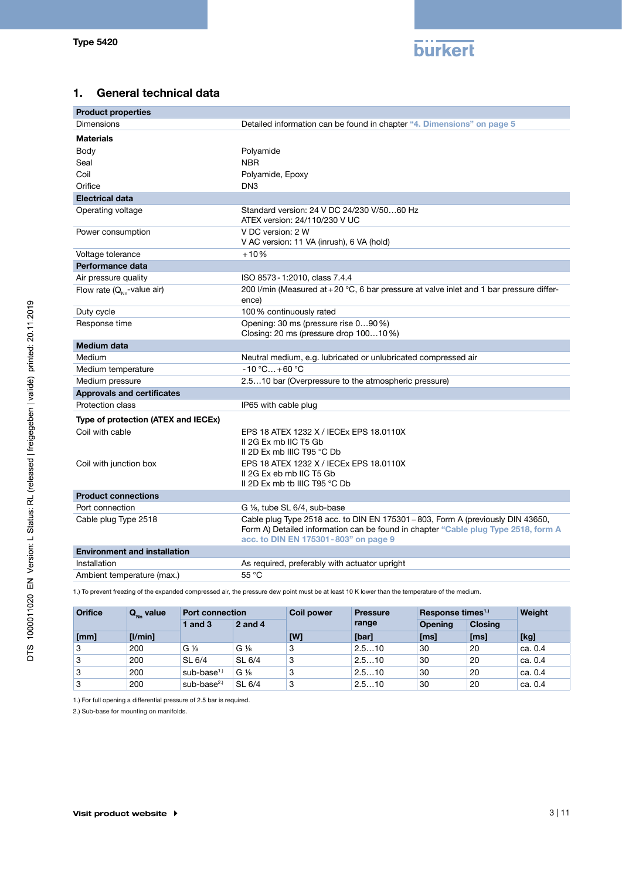

# <span id="page-2-0"></span>1. General technical data

| <b>Product properties</b>              |                                                                                                                                                                                                               |
|----------------------------------------|---------------------------------------------------------------------------------------------------------------------------------------------------------------------------------------------------------------|
| Dimensions                             | Detailed information can be found in chapter "4. Dimensions" on page 5                                                                                                                                        |
| <b>Materials</b>                       |                                                                                                                                                                                                               |
| Body                                   | Polyamide                                                                                                                                                                                                     |
| Seal                                   | <b>NBR</b>                                                                                                                                                                                                    |
| Coil                                   | Polyamide, Epoxy                                                                                                                                                                                              |
| Orifice                                | DN <sub>3</sub>                                                                                                                                                                                               |
| <b>Electrical data</b>                 |                                                                                                                                                                                                               |
| Operating voltage                      | Standard version: 24 V DC 24/230 V/5060 Hz<br>ATEX version: 24/110/230 V UC                                                                                                                                   |
| Power consumption                      | V DC version: 2 W<br>V AC version: 11 VA (inrush), 6 VA (hold)                                                                                                                                                |
| Voltage tolerance                      | $+10%$                                                                                                                                                                                                        |
| Performance data                       |                                                                                                                                                                                                               |
| Air pressure quality                   | ISO 8573 - 1:2010, class 7.4.4                                                                                                                                                                                |
| Flow rate $(Q_{\text{Nn}}$ -value air) | 200 l/min (Measured at +20 $^{\circ}$ C, 6 bar pressure at valve inlet and 1 bar pressure differ-<br>ence)                                                                                                    |
| Duty cycle                             | 100% continuously rated                                                                                                                                                                                       |
| Response time                          | Opening: 30 ms (pressure rise 090 %)<br>Closing: 20 ms (pressure drop 10010%)                                                                                                                                 |
| <b>Medium data</b>                     |                                                                                                                                                                                                               |
| Medium                                 | Neutral medium, e.g. lubricated or unlubricated compressed air                                                                                                                                                |
| Medium temperature                     | $-10 °C+60 °C$                                                                                                                                                                                                |
| Medium pressure                        | 2.510 bar (Overpressure to the atmospheric pressure)                                                                                                                                                          |
| <b>Approvals and certificates</b>      |                                                                                                                                                                                                               |
| Protection class                       | IP65 with cable plug                                                                                                                                                                                          |
| Type of protection (ATEX and IECEx)    |                                                                                                                                                                                                               |
| Coil with cable                        | EPS 18 ATEX 1232 X / IECEx EPS 18.0110X<br>II 2G Ex mb IIC T5 Gb<br>II 2D Ex mb IIIC T95 °C Db                                                                                                                |
| Coil with junction box                 | EPS 18 ATEX 1232 X / IECEx EPS 18.0110X<br>II 2G Ex eb mb IIC T5 Gb<br>II 2D Ex mb tb IIIC T95 $°C$ Db                                                                                                        |
| <b>Product connections</b>             |                                                                                                                                                                                                               |
| Port connection                        | G 1/ <sub>8</sub> , tube SL 6/4, sub-base                                                                                                                                                                     |
| Cable plug Type 2518                   | Cable plug Type 2518 acc. to DIN EN 175301 - 803, Form A (previously DIN 43650,<br>Form A) Detailed information can be found in chapter "Cable plug Type 2518, form A<br>acc. to DIN EN 175301-803" on page 9 |
| <b>Environment and installation</b>    |                                                                                                                                                                                                               |
| Installation                           | As required, preferably with actuator upright                                                                                                                                                                 |
| Ambient temperature (max.)             | 55 °C                                                                                                                                                                                                         |

1.) To prevent freezing of the expanded compressed air, the pressure dew point must be at least 10 K lower than the temperature of the medium.

| <b>Orifice</b> | $Q_{_{\rm NN}}$ value | <b>Port connection</b> |                | <b>Coil power</b> | <b>Pressure</b> | Response times <sup>1.)</sup> |         | Weight         |  |
|----------------|-----------------------|------------------------|----------------|-------------------|-----------------|-------------------------------|---------|----------------|--|
|                |                       | 1 and $3$              | $2$ and 4      |                   | range           |                               | Opening | <b>Closing</b> |  |
| [mm]           | [1/min]               |                        |                | [W]               | [bar]           | [ms]                          | [ms]    | [kg]           |  |
| 3              | 200                   | $G\frac{1}{8}$         | $G\frac{1}{8}$ | 3                 | 2.510           | 30                            | 20      | ca. 0.4        |  |
| ⊩3             | 200                   | SL 6/4                 | SL 6/4         | 3                 | 2.510           | 30                            | 20      | ca. 0.4        |  |
| ⊦3             | 200                   | sub-base $1.1$         | $G\%$          | 3                 | 2.510           | 30                            | 20      | ca. 0.4        |  |
| 3              | 200                   | sub-base $2.0$         | SL 6/4         | 3                 | 2.510           | 30                            | 20      | ca. 0.4        |  |

1.) For full opening a differential pressure of 2.5 bar is required.

2.) Sub-base for mounting on manifolds.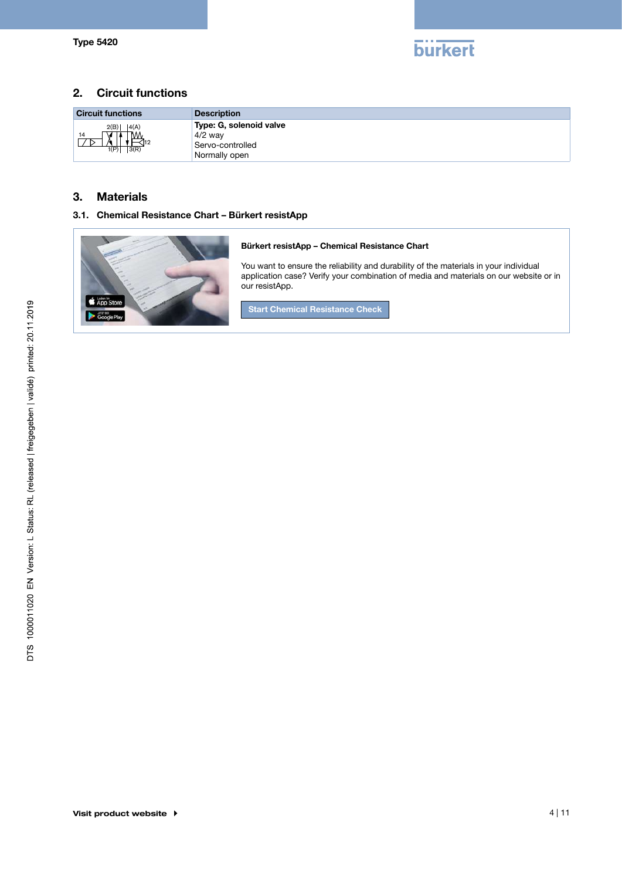

# <span id="page-3-0"></span>2. Circuit functions

| <b>Circuit functions</b>                    | <b>Description</b>                                                        |
|---------------------------------------------|---------------------------------------------------------------------------|
| 2(B)<br> 4(A) <br>14<br>IVV<br>1(P)<br>3(R) | Type: G, solenoid valve<br>$4/2$ way<br>Servo-controlled<br>Normally open |

# 3. Materials

# 3.1. Chemical Resistance Chart – Bürkert resistApp

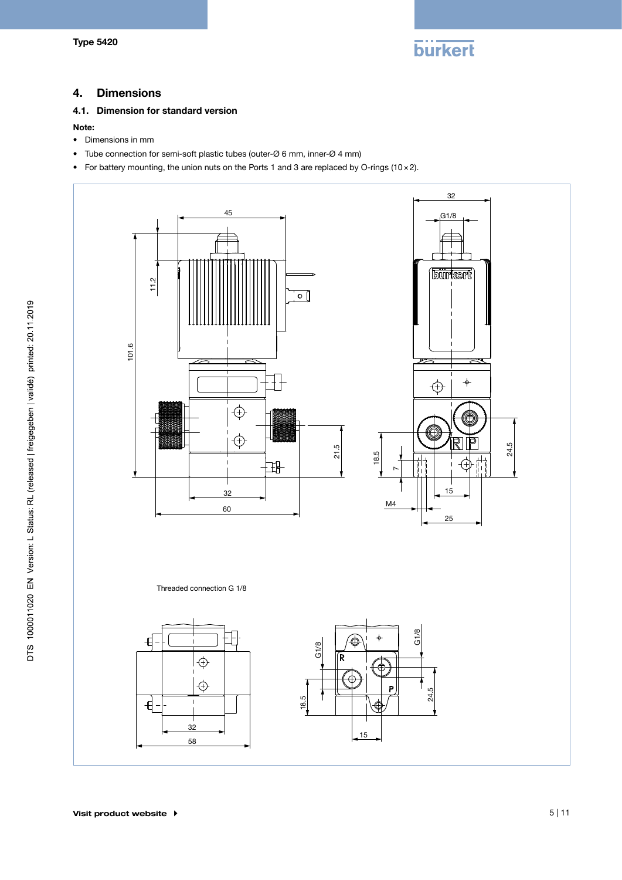

# <span id="page-4-1"></span><span id="page-4-0"></span>4. Dimensions

# 4.1. Dimension for standard version

#### Note:

- Dimensions in mm
- Tube connection for semi-soft plastic tubes (outer-Ø 6 mm, inner-Ø 4 mm)
- For battery mounting, the union nuts on the Ports 1 and 3 are replaced by O-rings (10 × 2).

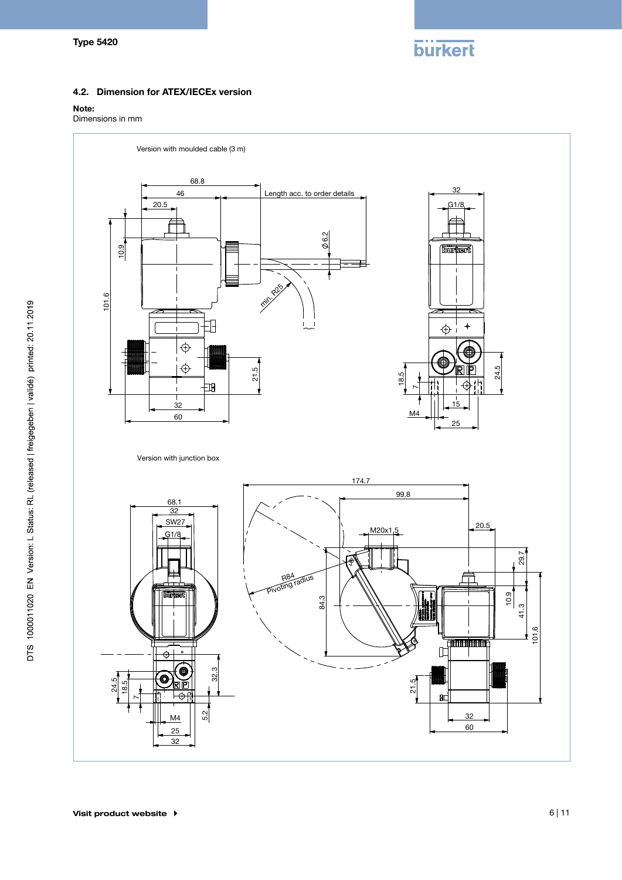**burkert** 

### <span id="page-5-0"></span>4.2. Dimension for ATEX/IECEx version

#### Note:

Dimensions in mm

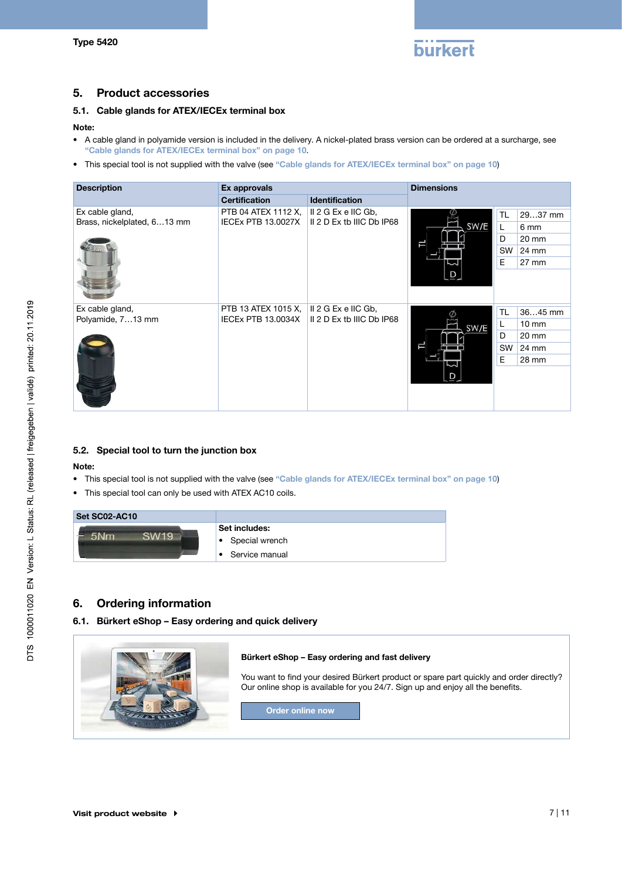

# <span id="page-6-0"></span>5. Product accessories

# 5.1. Cable glands for ATEX/IECEx terminal box

#### Note:

- A cable gland in polyamide version is included in the delivery. A nickel-plated brass version can be ordered at a surcharge, see ["Cable glands for ATEX/IECEx terminal box" on page 10](#page-9-1).
- This special tool is not supplied with the valve (see ["Cable glands for ATEX/IECEx terminal box" on page 10](#page-9-1))

| <b>Description</b>                             | Ex approvals                                     |                                                    | <b>Dimensions</b> |           |                 |
|------------------------------------------------|--------------------------------------------------|----------------------------------------------------|-------------------|-----------|-----------------|
|                                                | <b>Certification</b>                             | <b>Identification</b>                              |                   |           |                 |
| Ex cable gland,<br>Brass, nickelplated, 613 mm | PTB 04 ATEX 1112 X,<br><b>IECEX PTB 13.0027X</b> | $II$ 2 G Ex e IIC Gb,<br>II 2 D Ex tb IIIC Db IP68 |                   | <b>TL</b> | 2937 mm         |
|                                                |                                                  |                                                    | SW/E              | L         | 6 mm            |
|                                                |                                                  |                                                    |                   | D         | 20 mm           |
|                                                |                                                  |                                                    |                   | SW        | 24 mm           |
|                                                |                                                  |                                                    |                   | E         | $27 \text{ mm}$ |
|                                                |                                                  |                                                    |                   |           |                 |
| Ex cable gland,                                | PTB 13 ATEX 1015 X,                              | II 2 G Ex e IIC Gb,                                |                   | TL        | 3645 mm         |
| Polyamide, 713 mm                              | <b>IECEX PTB 13.0034X</b>                        | II 2 D Ex tb IIIC Db IP68                          | SW/E              | L         | $10 \text{ mm}$ |
|                                                |                                                  |                                                    |                   | D         | $20 \text{ mm}$ |
|                                                |                                                  |                                                    |                   | <b>SW</b> | 24 mm           |
|                                                |                                                  |                                                    |                   | E         | 28 mm           |
|                                                |                                                  |                                                    |                   |           |                 |

#### 5.2. Special tool to turn the junction box

#### Note:

- This special tool is not supplied with the valve (see ["Cable glands for ATEX/IECEx terminal box" on page 10](#page-9-1))
- This special tool can only be used with ATEX AC10 coils.

| Set SC02-AC10 |                                 |
|---------------|---------------------------------|
|               | Set includes:<br>Special wrench |
|               | Service manual                  |

# 6. Ordering information

#### 6.1. Bürkert eShop – Easy ordering and quick delivery

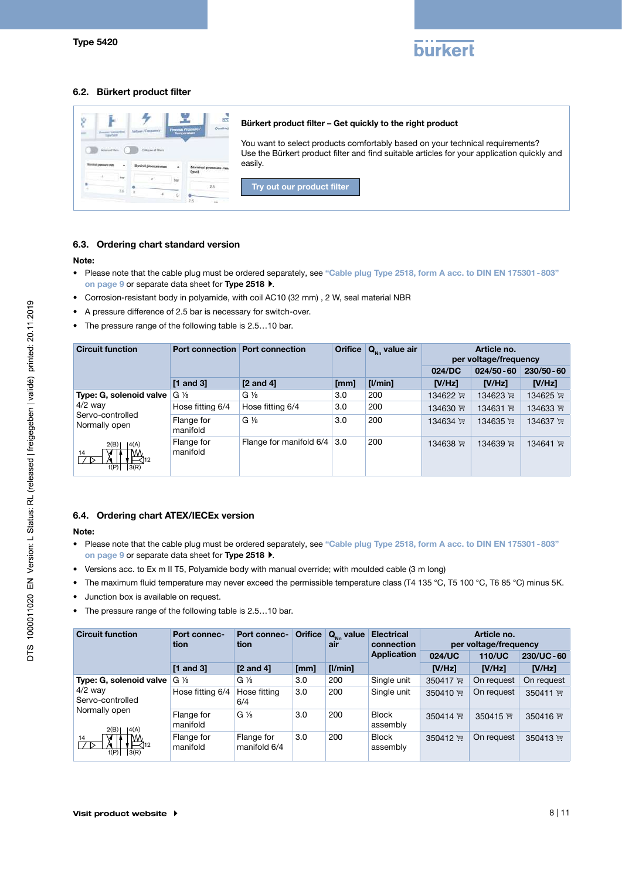

## <span id="page-7-0"></span>6.2. Bürkert product filter

|                       | <b>Norweg Prostage</b> | Siouthrie            | Bürkert product filter – Get quickly to the right product                                                                                                                   |
|-----------------------|------------------------|----------------------|-----------------------------------------------------------------------------------------------------------------------------------------------------------------------------|
| <b>Course</b> at Wars |                        |                      | You want to select products comfortably based on your technical requirements?<br>Use the Bürkert product filter and find suitable articles for your application quickly and |
|                       |                        | Nominal pressure max | easily.                                                                                                                                                                     |
|                       |                        |                      | Try out our product filter                                                                                                                                                  |

#### 6.3. Ordering chart standard version

#### Note:

- Please note that the cable plug must be ordered separately, see ["Cable plug Type 2518, form A acc. to DIN EN 175301-803"](#page-8-1)  [on page 9](#page-8-1) or separate data sheet for [Type 2518](https://products.burkert.com/?medium=datasheet&type=2518)  $\blacktriangleright$ .
- Corrosion-resistant body in polyamide, with coil AC10 (32 mm) , 2 W, seal material NBR
- A pressure difference of 2.5 bar is necessary for switch-over.
- The pressure range of the following table is 2.5…10 bar.

| <b>Circuit function</b>                          |                        | <b>Orifice</b><br><b>Port connection Port connection</b> |      | $Q_{\mu}$ value air | Article no.<br>per voltage/frequency |               |               |
|--------------------------------------------------|------------------------|----------------------------------------------------------|------|---------------------|--------------------------------------|---------------|---------------|
|                                                  |                        |                                                          |      |                     | 024/DC                               | $024/50 - 60$ | $230/50 - 60$ |
|                                                  | $[1$ and $3]$          | $[2 \text{ and } 4]$                                     | [mm] | [1/min]             | IV/Hz                                | $IV/Hz$ ]     | [V/Hz]        |
| Type: G, solenoid valve                          | $G\frac{1}{8}$         | $G\frac{1}{8}$                                           | 3.0  | 200                 | 134622 评                             | 134623 评      | 134625 评      |
| $4/2$ way<br>Servo-controlled<br>Normally open   | Hose fitting 6/4       | Hose fitting 6/4                                         | 3.0  | 200                 | 134630 评                             | 134631 评      | 134633 评      |
|                                                  | Flange for<br>manifold | $G\frac{1}{8}$                                           | 3.0  | 200                 | 134634 评                             | 134635 评      | 134637 评      |
| 4(A) <br>2(B)<br>14<br>$\overline{3(R)}$<br>1(P) | Flange for<br>manifold | Flange for manifold 6/4                                  | 3.0  | 200                 | 134638 评                             | 134639 评      | 134641 )      |

#### 6.4. Ordering chart ATEX/IECEx version

#### Note:

- Please note that the cable plug must be ordered separately, see ["Cable plug Type 2518, form A acc. to DIN EN 175301-803"](#page-8-1)  [on page 9](#page-8-1) or separate data sheet for [Type 2518](https://products.burkert.com/?medium=datasheet&type=2518)  $\blacktriangleright$ .
- Versions acc. to Ex m II T5, Polyamide body with manual override; with moulded cable (3 m long)
- The maximum fluid temperature may never exceed the permissible temperature class (T4 135 °C, T5 100 °C, T6 85 °C) minus 5K.
- Junction box is available on request.
- The pressure range of the following table is 2.5…10 bar.

| <b>Circuit function</b>                                          | Port connec-<br>tion   | <b>Port connec-</b><br>tion | <b>Orifice</b> | $Q_{\text{Nn}}$ value<br>air | <b>Electrical</b><br>connection | Article no.<br>per voltage/frequency |               |            |
|------------------------------------------------------------------|------------------------|-----------------------------|----------------|------------------------------|---------------------------------|--------------------------------------|---------------|------------|
|                                                                  |                        |                             |                |                              | Application                     | 024/UC                               | <b>110/UC</b> | 230/UC-60  |
|                                                                  | $[1$ and $3]$          | $[2 \text{ and } 4]$        | [mm]           | [1/min]                      |                                 | N/Hz                                 | [V/Hz]        | IV/Hz      |
| Type: G, solenoid valve                                          | $G\frac{1}{8}$         | $G\frac{1}{8}$              | 3.0            | 200                          | Single unit                     | 350417 ™                             | On request    | On request |
| $4/2$ way<br>Servo-controlled<br>Normally open<br> 4(A) <br>2(B) | Hose fitting 6/4       | Hose fitting<br>6/4         | 3.0            | 200                          | Single unit                     | 350410 评                             | On request    | 350411 评   |
|                                                                  | Flange for<br>manifold | $G\frac{1}{8}$              | 3.0            | 200                          | Block<br>assembly               | 350414 $\overline{m}$                | 350415 $H$    | 350416 $H$ |
| $\mathbb{M}_{\mathcal{A}_{12}}$<br>14<br>1(P)<br> 3(R)           | Flange for<br>manifold | Flange for<br>manifold 6/4  | 3.0            | 200                          | <b>Block</b><br>assembly        | 350412 评                             | On request    | 350413 评   |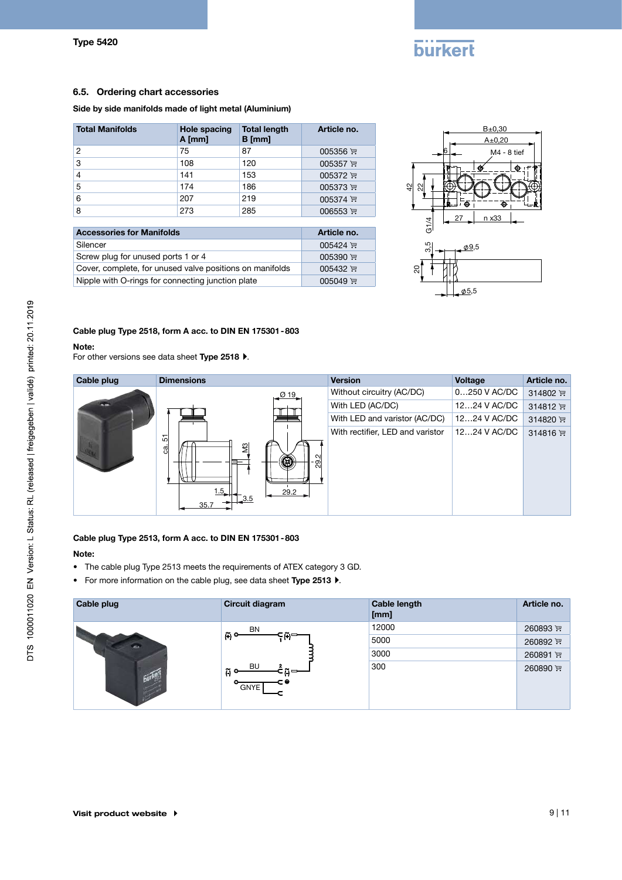# **burkert**

#### <span id="page-8-0"></span>6.5. Ordering chart accessories

#### Side by side manifolds made of light metal (Aluminium)

| <b>Total Manifolds</b> | Hole spacing<br>$A$ [mm] | <b>Total length</b><br>$B$ [mm] | Article no. |
|------------------------|--------------------------|---------------------------------|-------------|
| 2                      | 75                       | 87                              | 005356 评    |
| 3                      | 108                      | 120                             | 005357 评    |
| 4                      | 141                      | 153                             | 005372 评    |
| 5                      | 174                      | 186                             | 005373 $F$  |
| 6                      | 207                      | 219                             | $005374$ ,  |
| 8                      | 273                      | 285                             | 006553 评    |

| <b>Accessories for Manifolds</b>                         | Article no.     |
|----------------------------------------------------------|-----------------|
| Silencer                                                 | $005424$ 뿐      |
| Screw plug for unused ports 1 or 4                       | 005390 $H$      |
| Cover, complete, for unused valve positions on manifolds | $005432$ ,      |
| Nipple with O-rings for connecting junction plate        | 005049 $\equiv$ |



#### <span id="page-8-1"></span>Cable plug Type 2518, form A acc. to DIN EN 175301-803

#### Note:

For other versions see data sheet [Type 2518](https://products.burkert.com/?medium=datasheet&type=2518)  $\blacktriangleright$ .



#### Cable plug Type 2513, form A acc. to DIN EN 175301-803

#### Note:

- The cable plug Type 2513 meets the requirements of ATEX category 3 GD.
- For more information on the cable plug, see data sheet [Type 2513](https://products.burkert.com/?medium=datasheet&type=2513)  $\blacktriangleright$ .

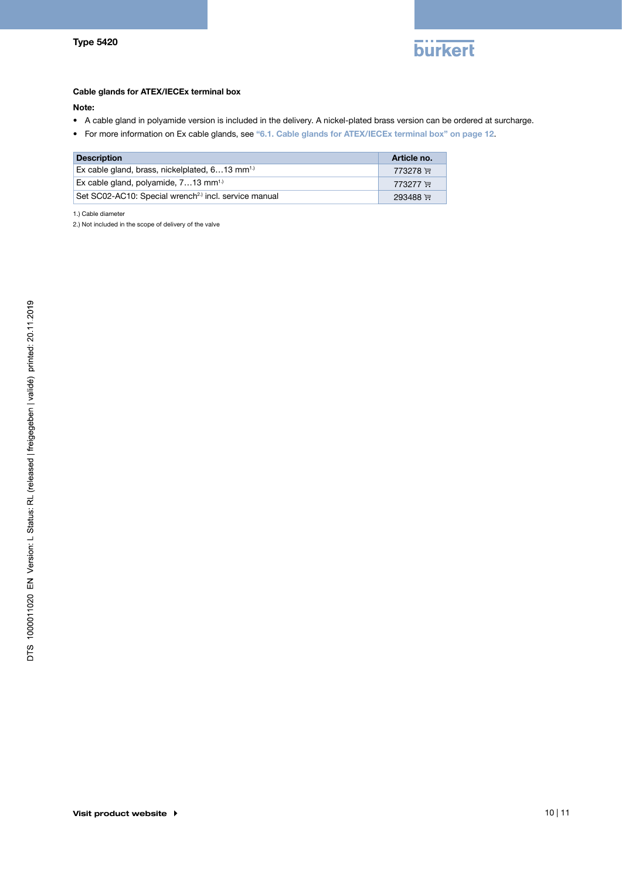

#### <span id="page-9-1"></span><span id="page-9-0"></span>Cable glands for ATEX/IECEx terminal box

#### Note:

- A cable gland in polyamide version is included in the delivery. A nickel-plated brass version can be ordered at surcharge.
- For more information on Ex cable glands, see "6.1. Cable glands for ATEX/IECEx terminal box" on page 12.

| <b>Description</b>                                               | Article no. |
|------------------------------------------------------------------|-------------|
| Ex cable gland, brass, nickelplated, $613$ mm <sup>1.)</sup>     | 773278 ছ    |
| Ex cable gland, polyamide, $713$ mm <sup>1.)</sup>               | 773277 ছ়   |
| Set SC02-AC10: Special wrench <sup>2)</sup> incl. service manual | 293488 쿈    |

1.) Cable diameter

2.) Not included in the scope of delivery of the valve